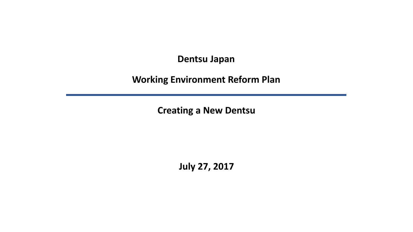**Dentsu Japan**

**Working Environment Reform Plan**

**Creating a New Dentsu**

**July 27, 2017**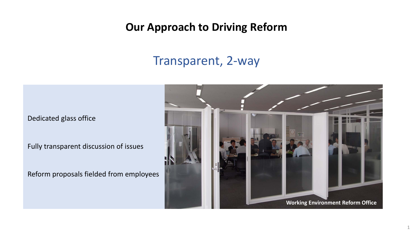## **Our Approach to Driving Reform**

## Transparent, 2-way

Dedicated glass office

Fully transparent discussion of issues

Reform proposals fielded from employees

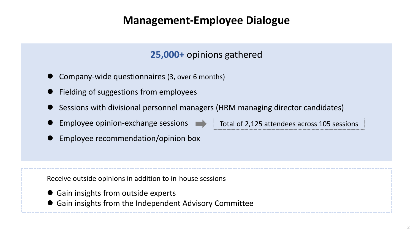## **Management-Employee Dialogue**

### **25,000+** opinions gathered

- Company-wide questionnaires (3, over 6 months)
- Fielding of suggestions from employees
- Sessions with divisional personnel managers (HRM managing director candidates)
- Employee opinion-exchange sessions
- **Employee recommendation/opinion box**

Total of 2,125 attendees across 105 sessions

Receive outside opinions in addition to in-house sessions

- Gain insights from outside experts
- Gain insights from the Independent Advisory Committee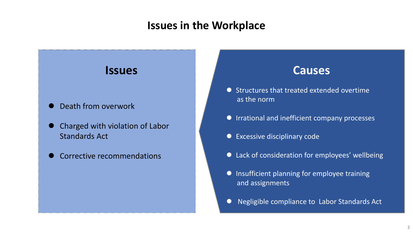### **Issues in the Workplace**

### **Issues**

- Death from overwork
- Charged with violation of Labor Standards Act
- Corrective recommendations

### **Causes**

- Structures that treated extended overtime as the norm
- **IFRE** Irrational and inefficient company processes
- Excessive disciplinary code
- Lack of consideration for employees' wellbeing
- **•** Insufficient planning for employee training and assignments
- Negligible compliance to Labor Standards Act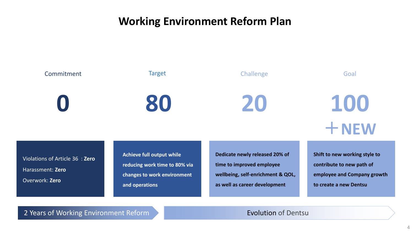## **Working Environment Reform Plan**



Harassment: **Zero** Overwork: **Zero**

**reducing work time to 80% via changes to work environment and operations**

**time to improved employee wellbeing, self-enrichment & QOL, as well as career development**

**contribute to new path of employee and Company growth to create a new Dentsu**

2 Years of Working Environment Reform **Evolution of Dentsu**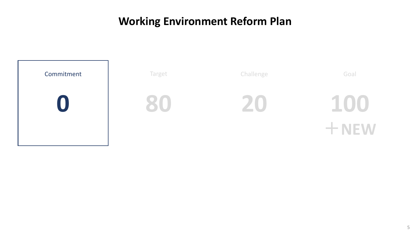## **Working Environment Reform Plan**

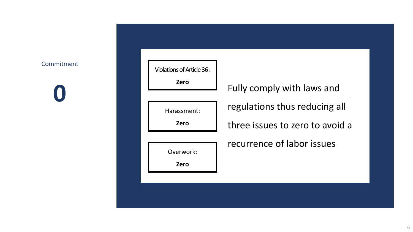### Commitment

**0**

| Violations of Article 36: |                                 |
|---------------------------|---------------------------------|
| <b>Zero</b>               | Fully comply with laws and      |
| Harassment:               | regulations thus reducing all   |
| <b>Zero</b>               | three issues to zero to avoid a |
|                           | recurrence of labor issues      |
| Overwork:<br><b>Zero</b>  |                                 |
|                           |                                 |
|                           |                                 |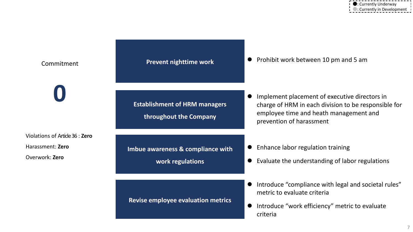| Commitment                                                            | Prevent nighttime work                                         | Prohibit work between 10 pm and 5 am                                                                                                                                                     |  |  |  |
|-----------------------------------------------------------------------|----------------------------------------------------------------|------------------------------------------------------------------------------------------------------------------------------------------------------------------------------------------|--|--|--|
|                                                                       | <b>Establishment of HRM managers</b><br>throughout the Company | Implement placement of executive directors in<br>$\bullet$<br>charge of HRM in each division to be responsible for<br>employee time and heath management and<br>prevention of harassment |  |  |  |
| Violations of Article 36 : Zero<br>Harassment: Zero<br>Overwork: Zero | Imbue awareness & compliance with<br>work regulations          | Enhance labor regulation training<br>$\bullet$<br>Evaluate the understanding of labor regulations                                                                                        |  |  |  |
|                                                                       | <b>Revise employee evaluation metrics</b>                      | Introduce "compliance with legal and societal rules"<br>metric to evaluate criteria<br>Introduce "work efficiency" metric to evaluate<br>criteria                                        |  |  |  |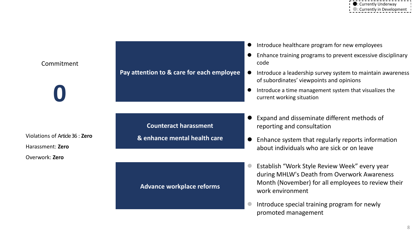|                                 |                                           |  | Introduce healthcare program for new employees                                                                                                                         |
|---------------------------------|-------------------------------------------|--|------------------------------------------------------------------------------------------------------------------------------------------------------------------------|
| Commitment                      |                                           |  | Enhance training programs to prevent excessive disciplinary<br>code                                                                                                    |
|                                 | Pay attention to & care for each employee |  | Introduce a leadership survey system to maintain awareness<br>of subordinates' viewpoints and opinions                                                                 |
|                                 |                                           |  | Introduce a time management system that visualizes the<br>current working situation                                                                                    |
|                                 | <b>Counteract harassment</b>              |  | Expand and disseminate different methods of                                                                                                                            |
| Violations of Article 36 : Zero |                                           |  | reporting and consultation                                                                                                                                             |
| Harassment: Zero                | & enhance mental health care              |  | Enhance system that regularly reports information<br>about individuals who are sick or on leave                                                                        |
| Overwork: Zero                  |                                           |  |                                                                                                                                                                        |
|                                 | <b>Advance workplace reforms</b>          |  | Establish "Work Style Review Week" every year<br>during MHLW's Death from Overwork Awareness<br>Month (November) for all employees to review their<br>work environment |
|                                 |                                           |  | Introduce special training program for newly                                                                                                                           |

promoted management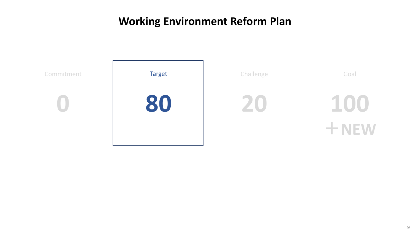## **Working Environment Reform Plan**

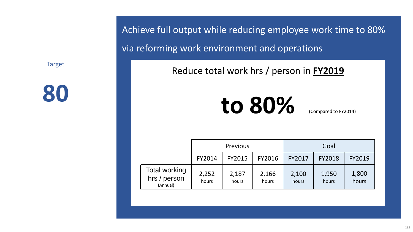**80**

Achieve full output while reducing employee work time to 80% via reforming work environment and operations

Reduce total work hrs / person in **FY2019**

# **to 80%**

(Compared to FY2014)

|                                                  | <b>Previous</b> |                |                | Goal           |                |                |  |
|--------------------------------------------------|-----------------|----------------|----------------|----------------|----------------|----------------|--|
|                                                  | FY2014          | FY2015         | FY2016         | FY2017         | <b>FY2018</b>  | FY2019         |  |
| <b>Total working</b><br>hrs / person<br>(Annual) | 2,252<br>hours  | 2,187<br>hours | 2,166<br>hours | 2,100<br>hours | 1,950<br>hours | 1,800<br>hours |  |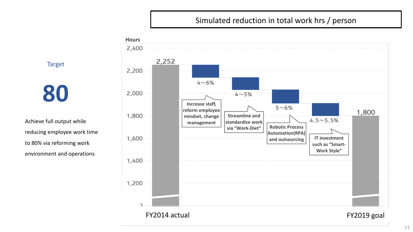### Simulated reduction in total work hrs / person

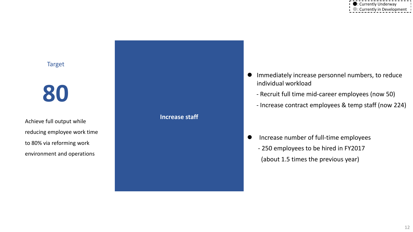## **80**

Achieve full output while reducing employee work time to 80% via reforming work environment and operations



- Immediately increase personnel numbers, to reduce individual workload
	- Recruit full time mid-career employees (now 50)
	- Increase contract employees & temp staff (now 224)

**•** Increase number of full-time employees - 250 employees to be hired in FY2017 (about 1.5 times the previous year)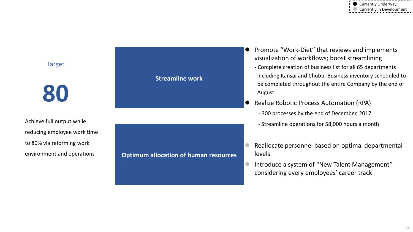**80**

Achieve full output while reducing employee work time to 80% via reforming work environment and operations

#### **Streamline work**

**Optimum allocation of human resources** 

- Promote "Work-Diet" that reviews and implements visualization of workflows; boost streamlining
	- Complete creation of business list for all 65 departments including Kansai and Chubu. Business inventory scheduled to be completed throughout the entire Company by the end of August
- Realize Robotic Process Automation (RPA)

- 300 processes by the end of December, 2017
- Streamline operations for 58,000 hours a month
- Reallocate personnel based on optimal departmental levels
- **Introduce a system of "New Talent Management"** considering every employees' career track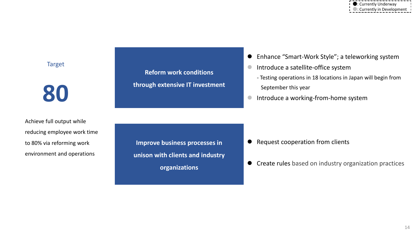**80**

Achieve full output while reducing employee work time to 80% via reforming work environment and operations

**Reform work conditions through extensive IT investment**

- Enhance "Smart-Work Style"; a teleworking system
- **Introduce a satellite-office system** 
	- Testing operations in 18 locations in Japan will begin from September this year
- **Introduce a working-from-home system**

**Improve business processes in unison with clients and industry organizations**

- Request cooperation from clients
- **Create rules based on industry organization practices**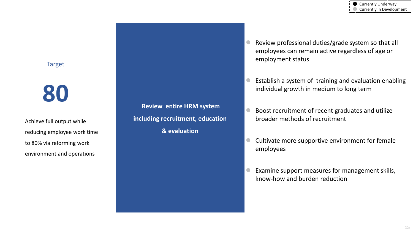## **80**

Achieve full output while reducing employee work time to 80% via reforming work environment and operations

**Review entire HRM system including recruitment, education & evaluation** 

 Review professional duties/grade system so that all employees can remain active regardless of age or employment status

● : Currently Underway ●: Currently in Development

- Establish a system of training and evaluation enabling individual growth in medium to long term
- Boost recruitment of recent graduates and utilize broader methods of recruitment
- Cultivate more supportive environment for female employees
- Examine support measures for management skills, know-how and burden reduction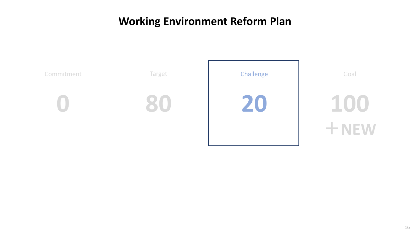## **Working Environment Reform Plan**

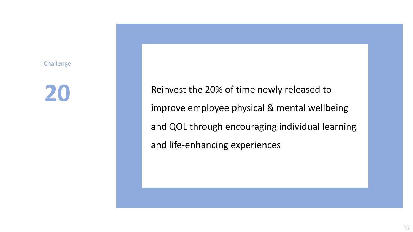Challenge

## **20**

Reinvest the 20% of time newly released to improve employee physical & mental wellbeing and QOL through encouraging individual learning and life-enhancing experiences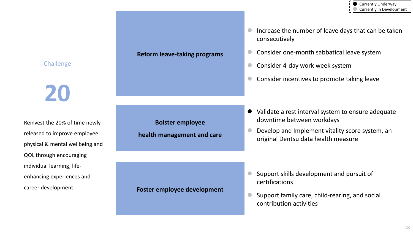

### **Challenge**

**20**

Reinvest the 20% of time newly released to improve employee physical & mental wellbeing and QOL through encouraging individual learning, lifeenhancing experiences and career development

#### **Reform leave-taking programs**

**Bolster employee health management and care**

#### **Foster employee development**

- Increase the number of leave days that can be taken consecutively
- Consider one-month sabbatical leave system
- Consider 4-day work week system
- Consider incentives to promote taking leave

- Validate a rest interval system to ensure adequate downtime between workdays
	- Develop and Implement vitality score system, an original Dentsu data health measure

- Support skills development and pursuit of certifications
- Support family care, child-rearing, and social contribution activities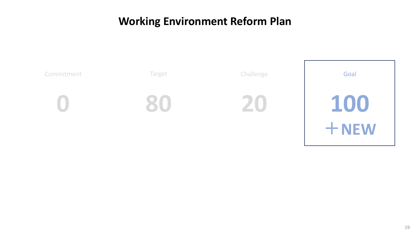## **Working Environment Reform Plan**

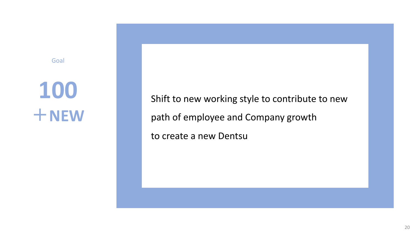### Goal

# **100** +**NEW**

Shift to new working style to contribute to new path of employee and Company growth to create a new Dentsu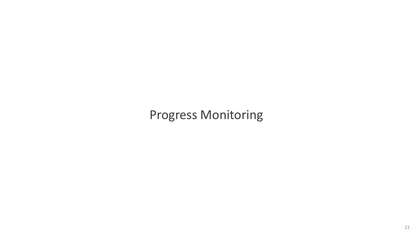## Progress Monitoring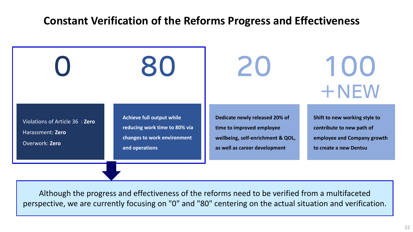### **Constant Verification of the Reforms Progress and Effectiveness**



Although the progress and effectiveness of the reforms need to be verified from a multifaceted perspective, we are currently focusing on "0" and "80" centering on the actual situation and verification.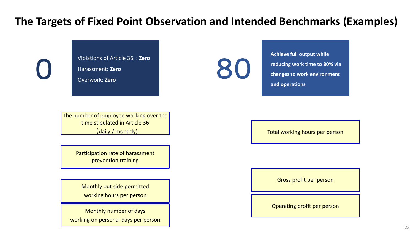## **The Targets of Fixed Point Observation and Intended Benchmarks (Examples)**

Violations of Article 36 : **Zero** Harassment: **Zero** Overwork: **Zero**

80

**Achieve full output while reducing work time to 80% via changes to work environment and operations**

The number of employee working over the time stipulated in Article 36 (daily / monthly)

> Participation rate of harassment prevention training

Monthly out side permitted working hours per person

Monthly number of days working on personal days per person Total working hours per person

Gross profit per person

Operating profit per person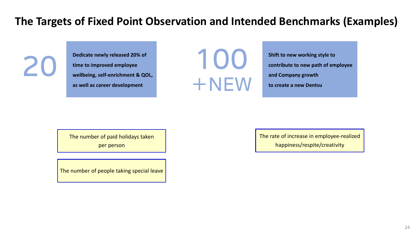## **The Targets of Fixed Point Observation and Intended Benchmarks (Examples)**

**Dedicate newly released 20% of time to improved employee wellbeing, self-enrichment & QOL, as well as career development**



**Shift to new working style to contribute to new path of employee and Company growth to create a new Dentsu**

The number of paid holidays taken per person

The number of people taking special leave

The rate of increase in employee-realized happiness/respite/creativity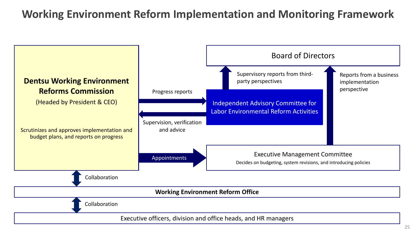## **Working Environment Reform Implementation and Monitoring Framework**